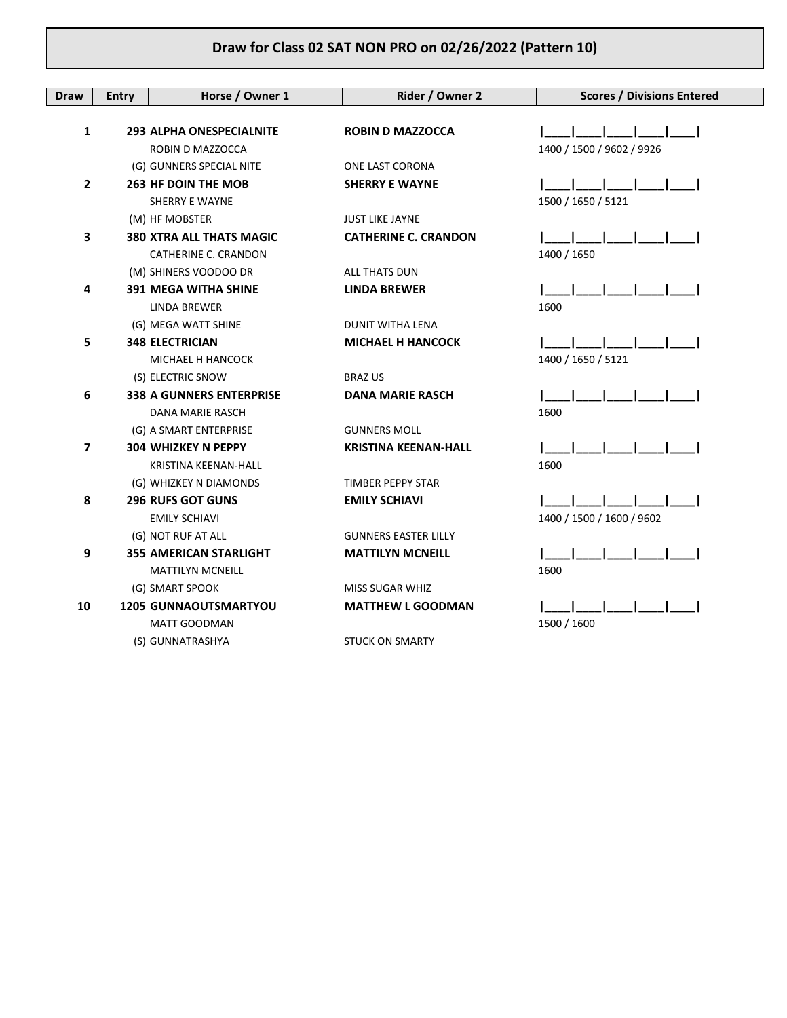| Draw           | <b>Entry</b> | Horse / Owner 1                 | Rider / Owner 2             | <b>Scores / Divisions Entered</b> |
|----------------|--------------|---------------------------------|-----------------------------|-----------------------------------|
|                |              |                                 |                             |                                   |
| 1              |              | <b>293 ALPHA ONESPECIALNITE</b> | <b>ROBIN D MAZZOCCA</b>     |                                   |
|                |              | ROBIN D MAZZOCCA                |                             | 1400 / 1500 / 9602 / 9926         |
|                |              | (G) GUNNERS SPECIAL NITE        | ONE LAST CORONA             |                                   |
| $\overline{2}$ |              | <b>263 HF DOIN THE MOB</b>      | <b>SHERRY E WAYNE</b>       |                                   |
|                |              | SHERRY E WAYNE                  |                             | 1500 / 1650 / 5121                |
|                |              | (M) HF MOBSTER                  | <b>JUST LIKE JAYNE</b>      |                                   |
| 3              |              | <b>380 XTRA ALL THATS MAGIC</b> | <b>CATHERINE C. CRANDON</b> |                                   |
|                |              | CATHERINE C. CRANDON            |                             | 1400 / 1650                       |
|                |              | (M) SHINERS VOODOO DR           | ALL THATS DUN               |                                   |
| 4              |              | <b>391 MEGA WITHA SHINE</b>     | <b>LINDA BREWER</b>         |                                   |
|                |              | <b>LINDA BREWER</b>             |                             | 1600                              |
|                |              | (G) MEGA WATT SHINE             | DUNIT WITHA LENA            |                                   |
| 5              |              | <b>348 ELECTRICIAN</b>          | <b>MICHAEL H HANCOCK</b>    |                                   |
|                |              | MICHAEL H HANCOCK               |                             | 1400 / 1650 / 5121                |
|                |              | (S) ELECTRIC SNOW               | <b>BRAZ US</b>              |                                   |
| 6              |              | <b>338 A GUNNERS ENTERPRISE</b> | <b>DANA MARIE RASCH</b>     |                                   |
|                |              | DANA MARIE RASCH                |                             | 1600                              |
|                |              | (G) A SMART ENTERPRISE          | <b>GUNNERS MOLL</b>         |                                   |
| 7              |              | <b>304 WHIZKEY N PEPPY</b>      | <b>KRISTINA KEENAN-HALL</b> |                                   |
|                |              | KRISTINA KEENAN-HALL            |                             | 1600                              |
|                |              | (G) WHIZKEY N DIAMONDS          | TIMBER PEPPY STAR           |                                   |
| 8              |              | <b>296 RUFS GOT GUNS</b>        | <b>EMILY SCHIAVI</b>        |                                   |
|                |              | <b>EMILY SCHIAVI</b>            |                             | 1400 / 1500 / 1600 / 9602         |
|                |              | (G) NOT RUF AT ALL              | <b>GUNNERS EASTER LILLY</b> |                                   |
| 9              |              | <b>355 AMERICAN STARLIGHT</b>   | <b>MATTILYN MCNEILL</b>     |                                   |
|                |              | <b>MATTILYN MCNEILL</b>         |                             | 1600                              |
|                |              | (G) SMART SPOOK                 | <b>MISS SUGAR WHIZ</b>      |                                   |
| 10             |              | <b>1205 GUNNAOUTSMARTYOU</b>    | <b>MATTHEW L GOODMAN</b>    |                                   |
|                |              | <b>MATT GOODMAN</b>             |                             | 1500 / 1600                       |
|                |              | (S) GUNNATRASHYA                | <b>STUCK ON SMARTY</b>      |                                   |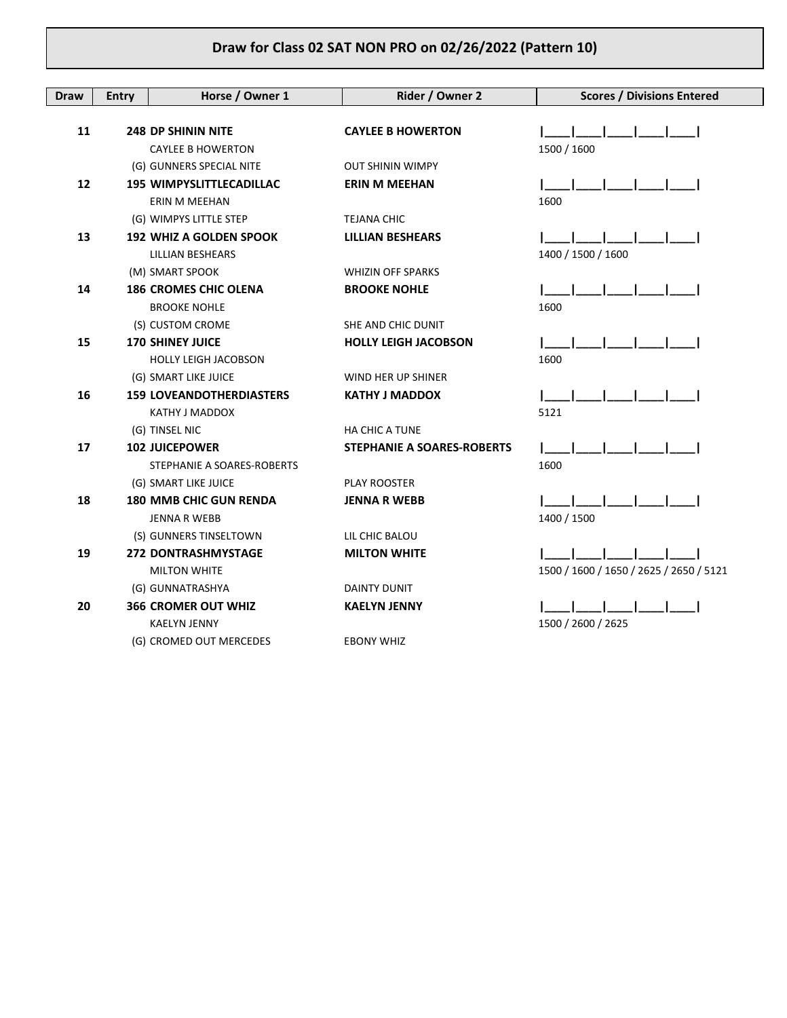| Draw | <b>Entry</b> | Horse / Owner 1                 | Rider / Owner 2                   | <b>Scores / Divisions Entered</b>       |
|------|--------------|---------------------------------|-----------------------------------|-----------------------------------------|
|      |              |                                 |                                   |                                         |
| 11   |              | <b>248 DP SHININ NITE</b>       | <b>CAYLEE B HOWERTON</b>          |                                         |
|      |              | <b>CAYLEE B HOWERTON</b>        |                                   | 1500 / 1600                             |
|      |              | (G) GUNNERS SPECIAL NITE        | <b>OUT SHININ WIMPY</b>           |                                         |
| 12   |              | <b>195 WIMPYSLITTLECADILLAC</b> | <b>ERIN M MEEHAN</b>              |                                         |
|      |              | ERIN M MEEHAN                   |                                   | 1600                                    |
|      |              | (G) WIMPYS LITTLE STEP          | <b>TEJANA CHIC</b>                |                                         |
| 13   |              | <b>192 WHIZ A GOLDEN SPOOK</b>  | <b>LILLIAN BESHEARS</b>           |                                         |
|      |              | LILLIAN BESHEARS                |                                   | 1400 / 1500 / 1600                      |
|      |              | (M) SMART SPOOK                 | <b>WHIZIN OFF SPARKS</b>          |                                         |
| 14   |              | <b>186 CROMES CHIC OLENA</b>    | <b>BROOKE NOHLE</b>               |                                         |
|      |              | <b>BROOKE NOHLE</b>             |                                   | 1600                                    |
|      |              | (S) CUSTOM CROME                | SHE AND CHIC DUNIT                |                                         |
| 15   |              | <b>170 SHINEY JUICE</b>         | <b>HOLLY LEIGH JACOBSON</b>       |                                         |
|      |              | <b>HOLLY LEIGH JACOBSON</b>     |                                   | 1600                                    |
|      |              | (G) SMART LIKE JUICE            | WIND HER UP SHINER                |                                         |
| 16   |              | <b>159 LOVEANDOTHERDIASTERS</b> | <b>KATHY J MADDOX</b>             |                                         |
|      |              | <b>KATHY J MADDOX</b>           |                                   | 5121                                    |
|      |              | (G) TINSEL NIC                  | HA CHIC A TUNE                    |                                         |
| 17   |              | <b>102 JUICEPOWER</b>           | <b>STEPHANIE A SOARES-ROBERTS</b> |                                         |
|      |              | STEPHANIE A SOARES-ROBERTS      |                                   | 1600                                    |
|      |              | (G) SMART LIKE JUICE            | PLAY ROOSTER                      |                                         |
| 18   |              | <b>180 MMB CHIC GUN RENDA</b>   | <b>JENNA R WEBB</b>               |                                         |
|      |              | <b>JENNA R WEBB</b>             |                                   | 1400 / 1500                             |
|      |              | (S) GUNNERS TINSELTOWN          | LIL CHIC BALOU                    |                                         |
| 19   |              | <b>272 DONTRASHMYSTAGE</b>      | <b>MILTON WHITE</b>               |                                         |
|      |              | <b>MILTON WHITE</b>             |                                   | 1500 / 1600 / 1650 / 2625 / 2650 / 5121 |
|      |              | (G) GUNNATRASHYA                | <b>DAINTY DUNIT</b>               |                                         |
| 20   |              | <b>366 CROMER OUT WHIZ</b>      | <b>KAELYN JENNY</b>               |                                         |
|      |              | <b>KAELYN JENNY</b>             |                                   | 1500 / 2600 / 2625                      |
|      |              | (G) CROMED OUT MERCEDES         | <b>EBONY WHIZ</b>                 |                                         |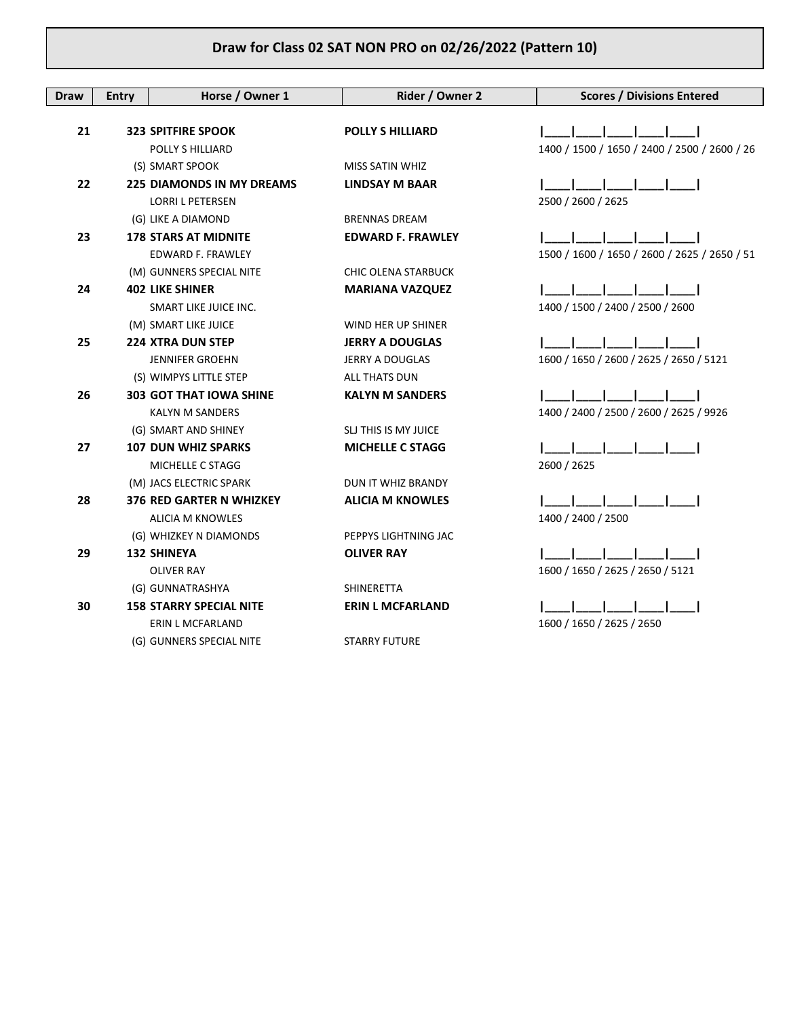| Draw | <b>Entry</b> | Horse / Owner 1                 | Rider / Owner 2           | <b>Scores / Divisions Entered</b>            |
|------|--------------|---------------------------------|---------------------------|----------------------------------------------|
|      |              |                                 |                           |                                              |
| 21   |              | <b>323 SPITFIRE SPOOK</b>       | <b>POLLY S HILLIARD</b>   |                                              |
|      |              | POLLY S HILLIARD                |                           | 1400 / 1500 / 1650 / 2400 / 2500 / 2600 / 26 |
|      |              | (S) SMART SPOOK                 | MISS SATIN WHIZ           |                                              |
| 22   |              | 225 DIAMONDS IN MY DREAMS       | <b>LINDSAY M BAAR</b>     |                                              |
|      |              | <b>LORRI L PETERSEN</b>         |                           | 2500 / 2600 / 2625                           |
|      |              | (G) LIKE A DIAMOND              | <b>BRENNAS DREAM</b>      |                                              |
| 23   |              | <b>178 STARS AT MIDNITE</b>     | <b>EDWARD F. FRAWLEY</b>  |                                              |
|      |              | <b>EDWARD F. FRAWLEY</b>        |                           | 1500 / 1600 / 1650 / 2600 / 2625 / 2650 / 51 |
|      |              | (M) GUNNERS SPECIAL NITE        | CHIC OLENA STARBUCK       |                                              |
| 24   |              | <b>402 LIKE SHINER</b>          | <b>MARIANA VAZQUEZ</b>    |                                              |
|      |              | SMART LIKE JUICE INC.           |                           | 1400 / 1500 / 2400 / 2500 / 2600             |
|      |              | (M) SMART LIKE JUICE            | <b>WIND HER UP SHINER</b> |                                              |
| 25   |              | <b>224 XTRA DUN STEP</b>        | <b>JERRY A DOUGLAS</b>    |                                              |
|      |              | <b>JENNIFER GROEHN</b>          | <b>JERRY A DOUGLAS</b>    | 1600 / 1650 / 2600 / 2625 / 2650 / 5121      |
|      |              | (S) WIMPYS LITTLE STEP          | ALL THATS DUN             |                                              |
| 26   |              | <b>303 GOT THAT IOWA SHINE</b>  | <b>KALYN M SANDERS</b>    |                                              |
|      |              | <b>KALYN M SANDERS</b>          |                           | 1400 / 2400 / 2500 / 2600 / 2625 / 9926      |
|      |              | (G) SMART AND SHINEY            | SLJ THIS IS MY JUICE      |                                              |
| 27   |              | <b>107 DUN WHIZ SPARKS</b>      | <b>MICHELLE C STAGG</b>   |                                              |
|      |              | MICHELLE C STAGG                |                           | 2600 / 2625                                  |
|      |              | (M) JACS ELECTRIC SPARK         | DUN IT WHIZ BRANDY        |                                              |
| 28   |              | <b>376 RED GARTER N WHIZKEY</b> | <b>ALICIA M KNOWLES</b>   |                                              |
|      |              | ALICIA M KNOWLES                |                           | 1400 / 2400 / 2500                           |
|      |              | (G) WHIZKEY N DIAMONDS          | PEPPYS LIGHTNING JAC      |                                              |
| 29   |              | <b>132 SHINEYA</b>              | <b>OLIVER RAY</b>         |                                              |
|      |              | <b>OLIVER RAY</b>               |                           | 1600 / 1650 / 2625 / 2650 / 5121             |
|      |              | (G) GUNNATRASHYA                | <b>SHINERETTA</b>         |                                              |
| 30   |              | <b>158 STARRY SPECIAL NITE</b>  | <b>ERIN L MCFARLAND</b>   |                                              |
|      |              | ERIN L MCFARLAND                |                           | 1600 / 1650 / 2625 / 2650                    |
|      |              | (G) GUNNERS SPECIAL NITE        | <b>STARRY FUTURE</b>      |                                              |
|      |              |                                 |                           |                                              |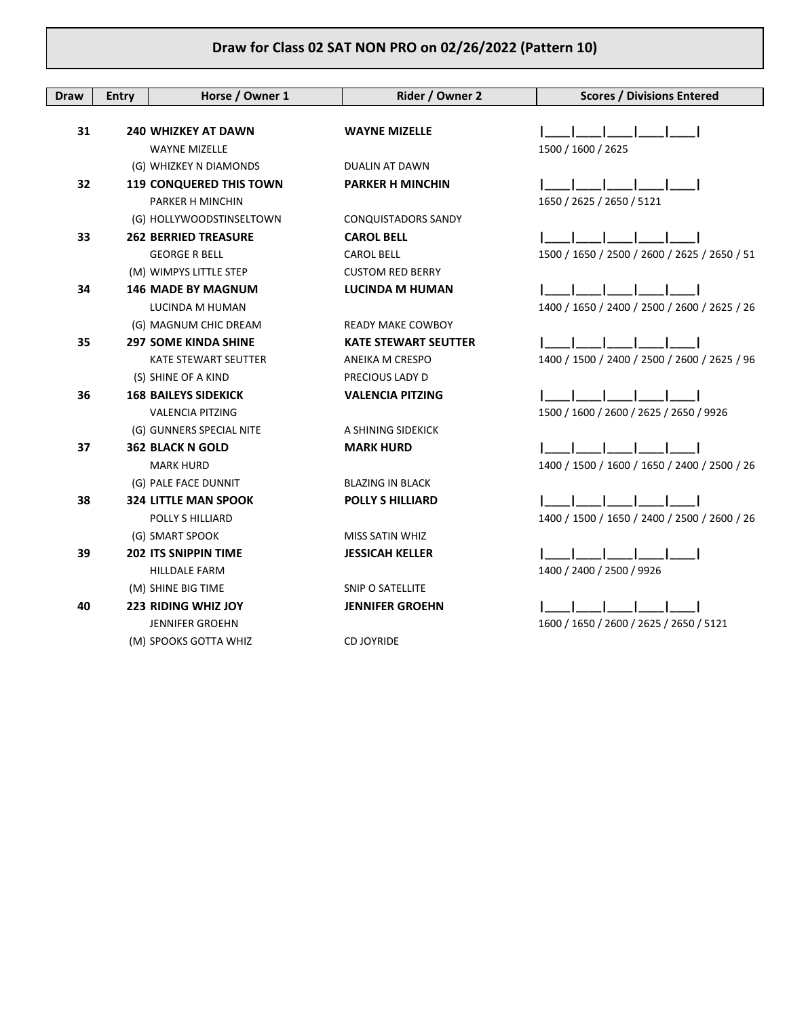| <b>Draw</b> | <b>Entry</b> | Horse / Owner 1                | Rider / Owner 2             | <b>Scores / Divisions Entered</b>            |
|-------------|--------------|--------------------------------|-----------------------------|----------------------------------------------|
|             |              |                                |                             |                                              |
| 31          |              | <b>240 WHIZKEY AT DAWN</b>     | <b>WAYNE MIZELLE</b>        |                                              |
|             |              | <b>WAYNE MIZELLE</b>           |                             | 1500 / 1600 / 2625                           |
|             |              | (G) WHIZKEY N DIAMONDS         | <b>DUALIN AT DAWN</b>       |                                              |
| 32          |              | <b>119 CONQUERED THIS TOWN</b> | <b>PARKER H MINCHIN</b>     |                                              |
|             |              | PARKER H MINCHIN               |                             | 1650 / 2625 / 2650 / 5121                    |
|             |              | (G) HOLLYWOODSTINSELTOWN       | <b>CONQUISTADORS SANDY</b>  |                                              |
| 33          |              | <b>262 BERRIED TREASURE</b>    | <b>CAROL BELL</b>           |                                              |
|             |              | <b>GEORGE R BELL</b>           | <b>CAROL BELL</b>           | 1500 / 1650 / 2500 / 2600 / 2625 / 2650 / 51 |
|             |              | (M) WIMPYS LITTLE STEP         | <b>CUSTOM RED BERRY</b>     |                                              |
| 34          |              | <b>146 MADE BY MAGNUM</b>      | <b>LUCINDA M HUMAN</b>      |                                              |
|             |              | LUCINDA M HUMAN                |                             | 1400 / 1650 / 2400 / 2500 / 2600 / 2625 / 26 |
|             |              | (G) MAGNUM CHIC DREAM          | <b>READY MAKE COWBOY</b>    |                                              |
| 35          |              | <b>297 SOME KINDA SHINE</b>    | <b>KATE STEWART SEUTTER</b> |                                              |
|             |              | <b>KATE STEWART SEUTTER</b>    | ANEIKA M CRESPO             | 1400 / 1500 / 2400 / 2500 / 2600 / 2625 / 96 |
|             |              | (S) SHINE OF A KIND            | PRECIOUS LADY D             |                                              |
| 36          |              | <b>168 BAILEYS SIDEKICK</b>    | <b>VALENCIA PITZING</b>     |                                              |
|             |              | <b>VALENCIA PITZING</b>        |                             | 1500 / 1600 / 2600 / 2625 / 2650 / 9926      |
|             |              | (G) GUNNERS SPECIAL NITE       | A SHINING SIDEKICK          |                                              |
| 37          |              | <b>362 BLACK N GOLD</b>        | <b>MARK HURD</b>            |                                              |
|             |              | <b>MARK HURD</b>               |                             | 1400 / 1500 / 1600 / 1650 / 2400 / 2500 / 26 |
|             |              | (G) PALE FACE DUNNIT           | <b>BLAZING IN BLACK</b>     |                                              |
| 38          |              | <b>324 LITTLE MAN SPOOK</b>    | <b>POLLY S HILLIARD</b>     |                                              |
|             |              | POLLY S HILLIARD               |                             | 1400 / 1500 / 1650 / 2400 / 2500 / 2600 / 26 |
|             |              | (G) SMART SPOOK                | MISS SATIN WHIZ             |                                              |
| 39          |              | <b>202 ITS SNIPPIN TIME</b>    | <b>JESSICAH KELLER</b>      |                                              |
|             |              | <b>HILLDALE FARM</b>           |                             | 1400 / 2400 / 2500 / 9926                    |
|             |              | (M) SHINE BIG TIME             | SNIP O SATELLITE            |                                              |
| 40          |              | <b>223 RIDING WHIZ JOY</b>     | <b>JENNIFER GROEHN</b>      |                                              |
|             |              | <b>JENNIFER GROEHN</b>         |                             | 1600 / 1650 / 2600 / 2625 / 2650 / 5121      |
|             |              | (M) SPOOKS GOTTA WHIZ          | <b>CD JOYRIDE</b>           |                                              |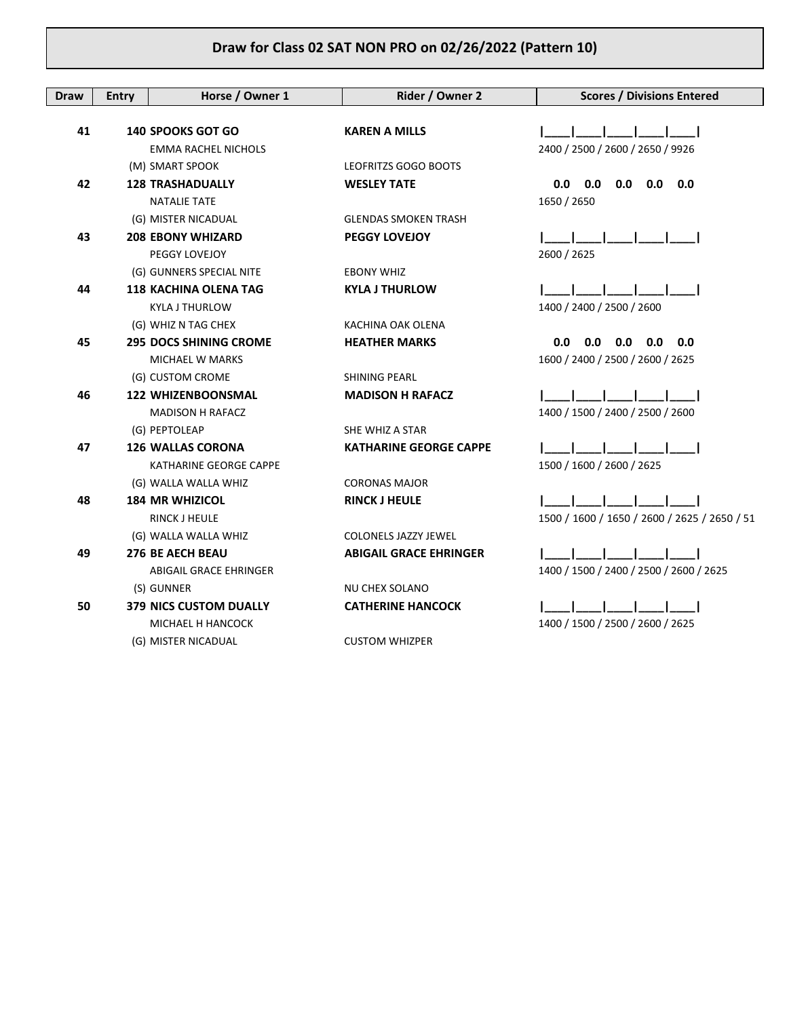| Draw | <b>Entry</b> | Horse / Owner 1               | Rider / Owner 2               | <b>Scores / Divisions Entered</b>            |
|------|--------------|-------------------------------|-------------------------------|----------------------------------------------|
|      |              |                               |                               |                                              |
| 41   |              | <b>140 SPOOKS GOT GO</b>      | <b>KAREN A MILLS</b>          |                                              |
|      |              | <b>EMMA RACHEL NICHOLS</b>    |                               | 2400 / 2500 / 2600 / 2650 / 9926             |
|      |              | (M) SMART SPOOK               | LEOFRITZS GOGO BOOTS          |                                              |
| 42   |              | <b>128 TRASHADUALLY</b>       | <b>WESLEY TATE</b>            | 0.0<br>0.0<br>0.0<br>$0.0\quad 0.0$          |
|      |              | <b>NATALIE TATE</b>           |                               | 1650 / 2650                                  |
|      |              | (G) MISTER NICADUAL           | <b>GLENDAS SMOKEN TRASH</b>   |                                              |
| 43   |              | <b>208 EBONY WHIZARD</b>      | <b>PEGGY LOVEJOY</b>          |                                              |
|      |              | PEGGY LOVEJOY                 |                               | 2600 / 2625                                  |
|      |              | (G) GUNNERS SPECIAL NITE      | <b>EBONY WHIZ</b>             |                                              |
| 44   |              | <b>118 KACHINA OLENA TAG</b>  | <b>KYLA J THURLOW</b>         |                                              |
|      |              | <b>KYLA J THURLOW</b>         |                               | 1400 / 2400 / 2500 / 2600                    |
|      |              | (G) WHIZ N TAG CHEX           | KACHINA OAK OLENA             |                                              |
| 45   |              | <b>295 DOCS SHINING CROME</b> | <b>HEATHER MARKS</b>          | 0.0<br>0.0<br>$0.0\quad 0.0$<br>0.0          |
|      |              | <b>MICHAEL W MARKS</b>        |                               | 1600 / 2400 / 2500 / 2600 / 2625             |
|      |              | (G) CUSTOM CROME              | <b>SHINING PEARL</b>          |                                              |
| 46   |              | <b>122 WHIZENBOONSMAL</b>     | <b>MADISON H RAFACZ</b>       |                                              |
|      |              | <b>MADISON H RAFACZ</b>       |                               | 1400 / 1500 / 2400 / 2500 / 2600             |
|      |              | (G) PEPTOLEAP                 | SHE WHIZ A STAR               |                                              |
| 47   |              | <b>126 WALLAS CORONA</b>      | <b>KATHARINE GEORGE CAPPE</b> |                                              |
|      |              | KATHARINE GEORGE CAPPE        |                               | 1500 / 1600 / 2600 / 2625                    |
|      |              | (G) WALLA WALLA WHIZ          | <b>CORONAS MAJOR</b>          |                                              |
| 48   |              | <b>184 MR WHIZICOL</b>        | <b>RINCK J HEULE</b>          |                                              |
|      |              | <b>RINCK J HEULE</b>          |                               | 1500 / 1600 / 1650 / 2600 / 2625 / 2650 / 51 |
|      |              | (G) WALLA WALLA WHIZ          | <b>COLONELS JAZZY JEWEL</b>   |                                              |
| 49   |              | <b>276 BE AECH BEAU</b>       | <b>ABIGAIL GRACE EHRINGER</b> |                                              |
|      |              | ABIGAIL GRACE EHRINGER        |                               | 1400 / 1500 / 2400 / 2500 / 2600 / 2625      |
|      |              | (S) GUNNER                    | NU CHEX SOLANO                |                                              |
| 50   |              | <b>379 NICS CUSTOM DUALLY</b> | <b>CATHERINE HANCOCK</b>      |                                              |
|      |              | MICHAEL H HANCOCK             |                               | 1400 / 1500 / 2500 / 2600 / 2625             |
|      |              | (G) MISTER NICADUAL           | <b>CUSTOM WHIZPER</b>         |                                              |